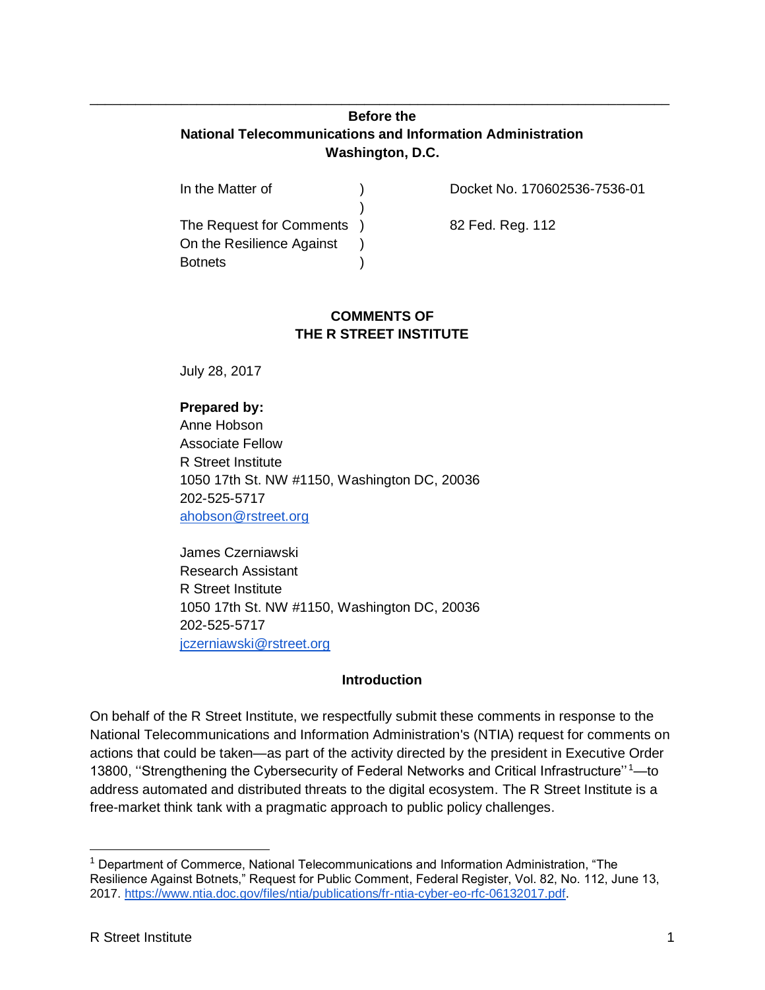## **Before the National Telecommunications and Information Administration Washington, D.C.**

\_\_\_\_\_\_\_\_\_\_\_\_\_\_\_\_\_\_\_\_\_\_\_\_\_\_\_\_\_\_\_\_\_\_\_\_\_\_\_\_\_\_\_\_\_\_\_\_\_\_\_\_\_\_\_\_\_\_\_\_\_\_\_\_\_\_\_\_\_\_\_\_\_\_\_\_

| In the Matter of           | Docket No. 170602536-7536-01 |
|----------------------------|------------------------------|
|                            |                              |
| The Request for Comments ) | 82 Fed. Reg. 112             |
| On the Resilience Against  |                              |
| <b>Botnets</b>             |                              |

### **COMMENTS OF THE R STREET INSTITUTE**

July 28, 2017

## **Prepared by:**

Anne Hobson Associate Fellow R Street Institute 1050 17th St. NW #1150, Washington DC, 20036 202-525-5717 [ahobson@rstreet.org](mailto:ahobson@rstreet.org)

James Czerniawski Research Assistant R Street Institute 1050 17th St. NW #1150, Washington DC, 20036 202-525-5717 [jczerniawski@rstreet.org](mailto:jczerniawski@rstreet.org)

#### **Introduction**

On behalf of the R Street Institute, we respectfully submit these comments in response to the National Telecommunications and Information Administration's (NTIA) request for comments on actions that could be taken—as part of the activity directed by the president in Executive Order 13800, "Strengthening the Cybersecurity of Federal Networks and Critical Infrastructure"<sup>1</sup>-to address automated and distributed threats to the digital ecosystem. The R Street Institute is a free-market think tank with a pragmatic approach to public policy challenges.

<sup>1</sup> Department of Commerce, National Telecommunications and Information Administration, "The Resilience Against Botnets," Request for Public Comment, Federal Register, Vol. 82, No. 112, June 13, 2017. [https://www.ntia.doc.gov/files/ntia/publications/fr-ntia-cyber-eo-rfc-06132017.pdf.](https://www.ntia.doc.gov/files/ntia/publications/fr-ntia-cyber-eo-rfc-06132017.pdf)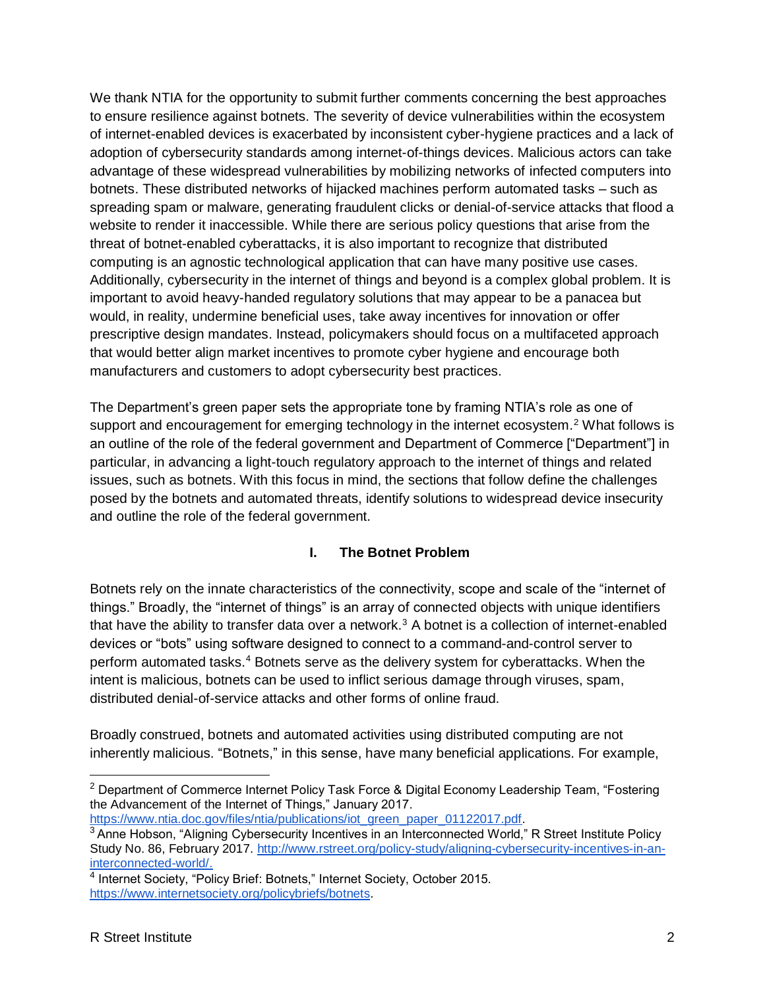We thank NTIA for the opportunity to submit further comments concerning the best approaches to ensure resilience against botnets. The severity of device vulnerabilities within the ecosystem of internet-enabled devices is exacerbated by inconsistent cyber-hygiene practices and a lack of adoption of cybersecurity standards among internet-of-things devices. Malicious actors can take advantage of these widespread vulnerabilities by mobilizing networks of infected computers into botnets. These distributed networks of hijacked machines perform automated tasks – such as spreading spam or malware, generating fraudulent clicks or denial-of-service attacks that flood a website to render it inaccessible. While there are serious policy questions that arise from the threat of botnet-enabled cyberattacks, it is also important to recognize that distributed computing is an agnostic technological application that can have many positive use cases. Additionally, cybersecurity in the internet of things and beyond is a complex global problem. It is important to avoid heavy-handed regulatory solutions that may appear to be a panacea but would, in reality, undermine beneficial uses, take away incentives for innovation or offer prescriptive design mandates. Instead, policymakers should focus on a multifaceted approach that would better align market incentives to promote cyber hygiene and encourage both manufacturers and customers to adopt cybersecurity best practices.

The Department's green paper sets the appropriate tone by framing NTIA's role as one of support and encouragement for emerging technology in the internet ecosystem.<sup>2</sup> What follows is an outline of the role of the federal government and Department of Commerce ["Department"] in particular, in advancing a light-touch regulatory approach to the internet of things and related issues, such as botnets. With this focus in mind, the sections that follow define the challenges posed by the botnets and automated threats, identify solutions to widespread device insecurity and outline the role of the federal government.

# **I. The Botnet Problem**

Botnets rely on the innate characteristics of the connectivity, scope and scale of the "internet of things." Broadly, the "internet of things" is an array of connected objects with unique identifiers that have the ability to transfer data over a network.<sup>3</sup> A botnet is a collection of internet-enabled devices or "bots" using software designed to connect to a command-and-control server to perform automated tasks.<sup>4</sup> Botnets serve as the delivery system for cyberattacks. When the intent is malicious, botnets can be used to inflict serious damage through viruses, spam, distributed denial-of-service attacks and other forms of online fraud.

Broadly construed, botnets and automated activities using distributed computing are not inherently malicious. "Botnets," in this sense, have many beneficial applications. For example,

[https://www.ntia.doc.gov/files/ntia/publications/iot\\_green\\_paper\\_01122017.pdf.](https://www.ntia.doc.gov/files/ntia/publications/iot_green_paper_01122017.pdf)

<sup>&</sup>lt;sup>2</sup> Department of Commerce Internet Policy Task Force & Digital Economy Leadership Team, "Fostering the Advancement of the Internet of Things," January 2017[.](https://www.ntia.doc.gov/files/ntia/publications/iot_green_paper_01122017.pdf)

<sup>&</sup>lt;sup>3</sup> Anne Hobson, "Aligning Cybersecurity Incentives in an Interconnected World," R Street Institute Policy Study No. 86, February 2017[.](http://www.rstreet.org/policy-study/aligning-cybersecurity-incentives-in-an-interconnected-world/) [http://www.rstreet.org/policy-study/aligning-cybersecurity-incentives-in-an](http://www.rstreet.org/policy-study/aligning-cybersecurity-incentives-in-an-interconnected-world/)[interconnected-world/.](http://www.rstreet.org/policy-study/aligning-cybersecurity-incentives-in-an-interconnected-world/)

<sup>&</sup>lt;sup>4</sup> Internet Society, "Policy Brief: Botnets," Internet Society, October 2015. [https://www.internetsociety.org/policybriefs/botnets.](https://www.internetsociety.org/policybriefs/botnets)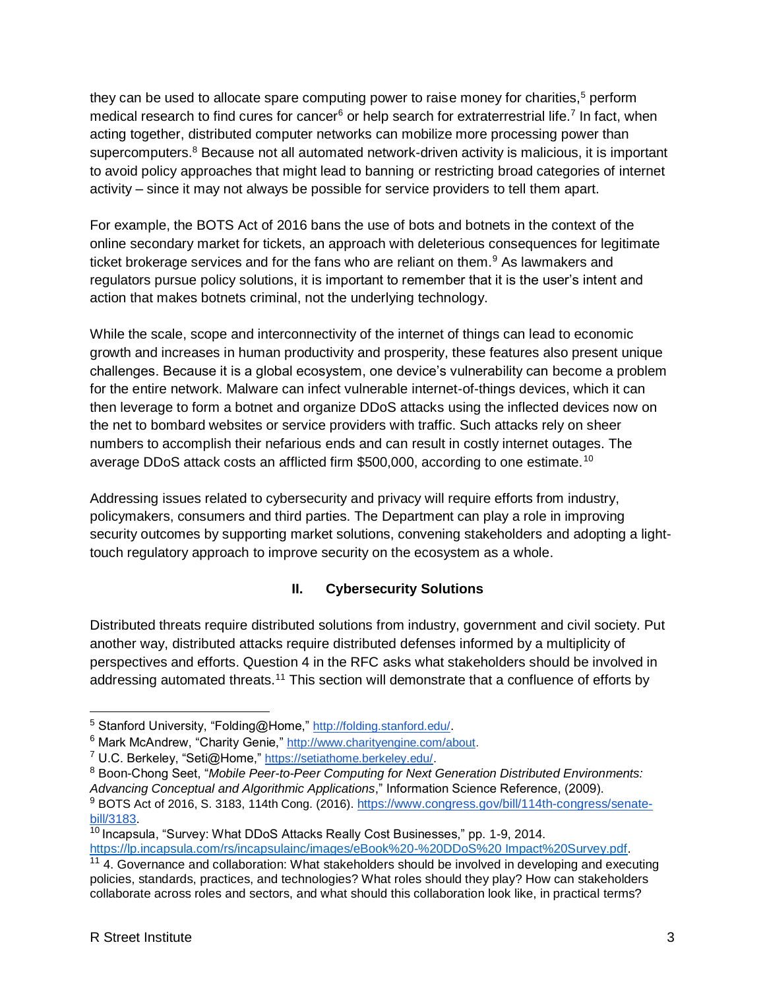they can be used to allocate spare computing power to raise money for charities, $5$  perform medical research to find cures for cancer<sup>6</sup> or help search for extraterrestrial life.<sup>7</sup> In fact, when acting together, distributed computer networks can mobilize more processing power than supercomputers.<sup>8</sup> Because not all automated network-driven activity is malicious, it is important to avoid policy approaches that might lead to banning or restricting broad categories of internet activity – since it may not always be possible for service providers to tell them apart.

For example, the BOTS Act of 2016 bans the use of bots and botnets in the context of the online secondary market for tickets, an approach with deleterious consequences for legitimate ticket brokerage services and for the fans who are reliant on them.<sup>9</sup> As lawmakers and regulators pursue policy solutions, it is important to remember that it is the user's intent and action that makes botnets criminal, not the underlying technology.

While the scale, scope and interconnectivity of the internet of things can lead to economic growth and increases in human productivity and prosperity, these features also present unique challenges. Because it is a global ecosystem, one device's vulnerability can become a problem for the entire network. Malware can infect vulnerable internet-of-things devices, which it can then leverage to form a botnet and organize DDoS attacks using the inflected devices now on the net to bombard websites or service providers with traffic. Such attacks rely on sheer numbers to accomplish their nefarious ends and can result in costly internet outages. The average DDoS attack costs an afflicted firm \$500,000, according to one estimate.<sup>10</sup>

Addressing issues related to cybersecurity and privacy will require efforts from industry, policymakers, consumers and third parties. The Department can play a role in improving security outcomes by supporting market solutions, convening stakeholders and adopting a lighttouch regulatory approach to improve security on the ecosystem as a whole.

# **II. Cybersecurity Solutions**

Distributed threats require distributed solutions from industry, government and civil society. Put another way, distributed attacks require distributed defenses informed by a multiplicity of perspectives and efforts. Question 4 in the RFC asks what stakeholders should be involved in addressing automated threats.<sup>11</sup> This section will demonstrate that a confluence of efforts by

[https://lp.incapsula.com/rs/incapsulainc/images/eBook%20-%20DDoS%20 Impact%20Survey.pdf.](https://lp.incapsula.com/rs/incapsulainc/images/eBook%20-%20DDoS%20%20Impact%20Survey.pdf)

<sup>5</sup> Stanford University, "Folding@Home," <http://folding.stanford.edu/>.

<sup>6</sup> Mark McAndrew, "Charity Genie," [http://www.charityengine.com/about.](http://www.charityengine.com/about)

<sup>7</sup> U.C. Berkeley, "Seti@Home," [https://setiathome.berkeley.edu/.](https://setiathome.berkeley.edu/)

<sup>8</sup> Boon-Chong Seet, "*Mobile Peer-to-Peer Computing for Next Generation Distributed Environments: Advancing Conceptual and Algorithmic Applications*," Information Science Reference, (2009).

<sup>&</sup>lt;sup>9</sup> BOTS Act of 2016, S. 3183, 114th Cong. (2016). [https://www.congress.gov/bill/114th-congress/senate](https://www.congress.gov/bill/114th-congress/senate-bill/3183)[bill/3183.](https://www.congress.gov/bill/114th-congress/senate-bill/3183) 

 $\frac{10}{10}$  Incapsula, "Survey: What DDoS Attacks Really Cost Businesses," pp. 1-9, 2014.

 $11$  4. Governance and collaboration: What stakeholders should be involved in developing and executing policies, standards, practices, and technologies? What roles should they play? How can stakeholders collaborate across roles and sectors, and what should this collaboration look like, in practical terms?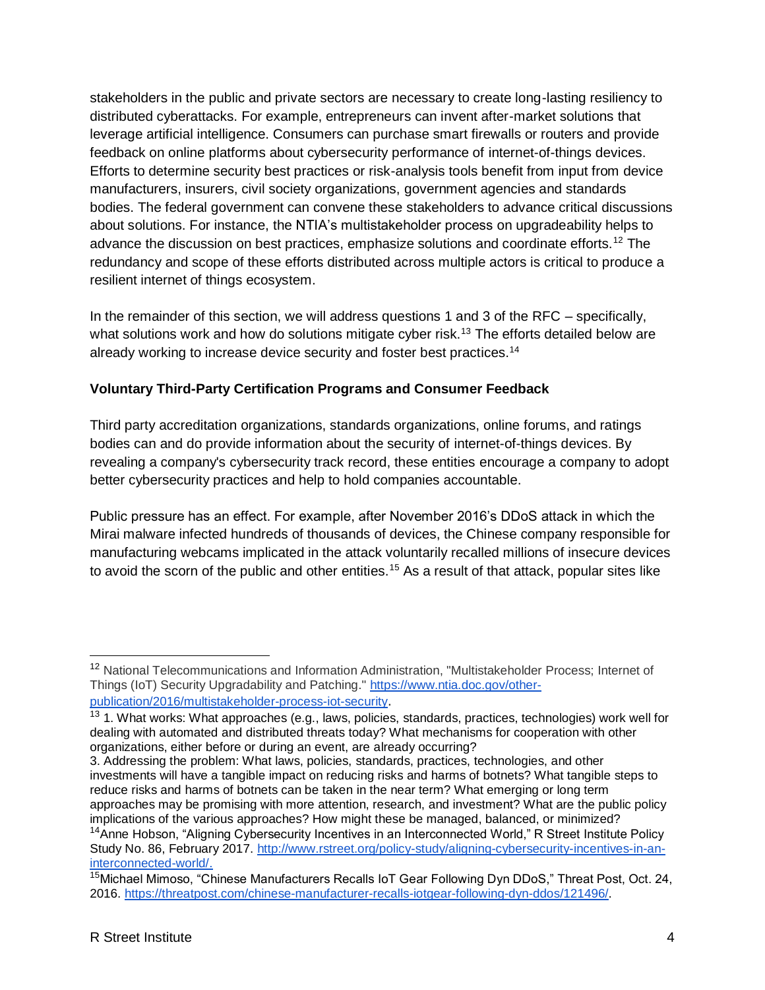stakeholders in the public and private sectors are necessary to create long-lasting resiliency to distributed cyberattacks. For example, entrepreneurs can invent after-market solutions that leverage artificial intelligence. Consumers can purchase smart firewalls or routers and provide feedback on online platforms about cybersecurity performance of internet-of-things devices. Efforts to determine security best practices or risk-analysis tools benefit from input from device manufacturers, insurers, civil society organizations, government agencies and standards bodies. The federal government can convene these stakeholders to advance critical discussions about solutions. For instance, the NTIA's multistakeholder process on upgradeability helps to advance the discussion on best practices, emphasize solutions and coordinate efforts.<sup>12</sup> The redundancy and scope of these efforts distributed across multiple actors is critical to produce a resilient internet of things ecosystem.

In the remainder of this section, we will address questions 1 and 3 of the RFC – specifically, what solutions work and how do solutions mitigate cyber risk.<sup>13</sup> The efforts detailed below are already working to increase device security and foster best practices.<sup>14</sup>

## **Voluntary Third-Party Certification Programs and Consumer Feedback**

Third party accreditation organizations, standards organizations, online forums, and ratings bodies can and do provide information about the security of internet-of-things devices. By revealing a company's cybersecurity track record, these entities encourage a company to adopt better cybersecurity practices and help to hold companies accountable.

Public pressure has an effect. For example, after November 2016's DDoS attack in which the Mirai malware infected hundreds of thousands of devices, the Chinese company responsible for manufacturing webcams implicated in the attack voluntarily recalled millions of insecure devices to avoid the scorn of the public and other entities.<sup>15</sup> As a result of that attack, popular sites like

3. Addressing the problem: What laws, policies, standards, practices, technologies, and other investments will have a tangible impact on reducing risks and harms of botnets? What tangible steps to reduce risks and harms of botnets can be taken in the near term? What emerging or long term approaches may be promising with more attention, research, and investment? What are the public policy implications of the various approaches? How might these be managed, balanced, or minimized?

<sup>12</sup> National Telecommunications and Information Administration, "Multistakeholder Process; Internet of Things (IoT) Security Upgradability and Patching." [https://www.ntia.doc.gov/other](https://www.ntia.doc.gov/other-publication/2016/multistakeholder-process-iot-security)[publication/2016/multistakeholder-process-iot-security](https://www.ntia.doc.gov/other-publication/2016/multistakeholder-process-iot-security).

<sup>&</sup>lt;sup>13</sup> 1. What works: What approaches (e.g., laws, policies, standards, practices, technologies) work well for dealing with automated and distributed threats today? What mechanisms for cooperation with other organizations, either before or during an event, are already occurring?

<sup>&</sup>lt;sup>14</sup>Anne Hobson, "Aligning Cybersecurity Incentives in an Interconnected World," R Street Institute Policy Study No. 86, February 2017[.](http://www.rstreet.org/policy-study/aligning-cybersecurity-incentives-in-an-interconnected-world/) [http://www.rstreet.org/policy-study/aligning-cybersecurity-incentives-in-an](http://www.rstreet.org/policy-study/aligning-cybersecurity-incentives-in-an-interconnected-world/)[interconnected-world/.](http://www.rstreet.org/policy-study/aligning-cybersecurity-incentives-in-an-interconnected-world/)

<sup>&</sup>lt;sup>15</sup>Michael Mimoso, "Chinese Manufacturers Recalls IoT Gear Following Dyn DDoS," Threat Post, Oct. 24, 2016. [https://threatpost.com/chinese-manufacturer-recalls-iotgear-following-dyn-ddos/121496/.](https://threatpost.com/chinese-manufacturer-recalls-iotgear-following-dyn-ddos/121496/)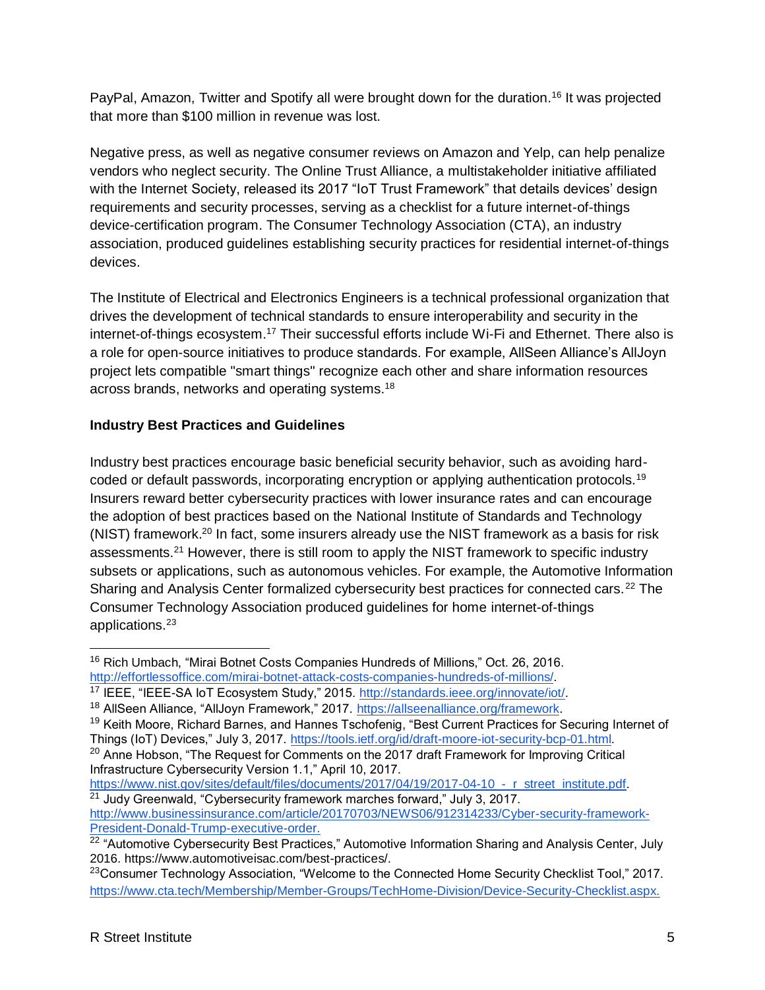PayPal, Amazon, Twitter and Spotify all were brought down for the duration.<sup>16</sup> It was projected that more than \$100 million in revenue was lost.

Negative press, as well as negative consumer reviews on Amazon and Yelp, can help penalize vendors who neglect security. The Online Trust Alliance, a multistakeholder initiative affiliated with the Internet Society, released its 2017 "IoT Trust Framework" that details devices' design requirements and security processes, serving as a checklist for a future internet-of-things device-certification program. The Consumer Technology Association (CTA), an industry association, produced guidelines establishing security practices for residential internet-of-things devices.

The Institute of Electrical and Electronics Engineers is a technical professional organization that drives the development of technical standards to ensure interoperability and security in the internet-of-things ecosystem.<sup>17</sup> Their successful efforts include Wi-Fi and Ethernet. There also is a role for open-source initiatives to produce standards. For example, AllSeen Alliance's AllJoyn project lets compatible "smart things" recognize each other and share information resources across brands, networks and operating systems.<sup>18</sup>

# **Industry Best Practices and Guidelines**

Industry best practices encourage basic beneficial security behavior, such as avoiding hardcoded or default passwords, incorporating encryption or applying authentication protocols.<sup>19</sup> Insurers reward better cybersecurity practices with lower insurance rates and can encourage the adoption of best practices based on the National Institute of Standards and Technology (NIST) framework.<sup>20</sup> In fact, some insurers already use the NIST framework as a basis for risk assessments.<sup>21</sup> However, there is still room to apply the NIST framework to specific industry subsets or applications, such as autonomous vehicles. For example, the Automotive Information Sharing and Analysis Center formalized cybersecurity best practices for connected cars.<sup>22</sup> The Consumer Technology Association produced guidelines for home internet-of-things applications.<sup>23</sup>

<sup>19</sup> Keith Moore, Richard Barnes, and Hannes Tschofenig, "Best Current Practices for Securing Internet of Things (IoT) Devices," July 3, 2017. [https://tools.ietf.org/id/draft-moore-iot-security-bcp-01.html.](https://tools.ietf.org/id/draft-moore-iot-security-bcp-01.html)

 $\overline{a}$ <sup>16</sup> Rich Umbach, "Mirai Botnet Costs Companies Hundreds of Millions," Oct. 26, 2016. [http://effortlessoffice.com/mirai-botnet-attack-costs-companies-hundreds-of-millions/.](http://effortlessoffice.com/mirai-botnet-attack-costs-companies-hundreds-of-millions/)

<sup>&</sup>lt;sup>17</sup> IEEE, "IEEE-SA IoT Ecosystem Study," 2015. [http://standards.ieee.org/innovate/iot/.](http://standards.ieee.org/innovate/iot/)

<sup>18</sup> AllSeen Alliance, "AllJoyn Framework," 2017. [https://allseenalliance.org/framework.](https://allseenalliance.org/framework)

 $20$  Anne Hobson, "The Request for Comments on the 2017 draft Framework for Improving Critical Infrastructure Cybersecurity Version 1.1," April 10, 2017.

[https://www.nist.gov/sites/default/files/documents/2017/04/19/2017-04-10\\_-\\_r\\_street\\_institute.pdf.](https://www.nist.gov/sites/default/files/documents/2017/04/19/2017-04-10_-_r_street_institute.pdf) <sup>21</sup> Judy Greenwald, "Cybersecurity framework marches forward," July 3, 2017. [http://www.businessinsurance.com/article/20170703/NEWS06/912314233/Cyber-security-framework-](http://www.businessinsurance.com/article/20170703/NEWS06/912314233/Cyber-security-framework-President-Donald-Trump-executive-order)[President-Donald-Trump-executive-order.](http://www.businessinsurance.com/article/20170703/NEWS06/912314233/Cyber-security-framework-President-Donald-Trump-executive-order)

<sup>&</sup>lt;sup>22</sup> "Automotive Cybersecurity Best Practices," Automotive Information Sharing and Analysis Center, July 2016. https://www.automotiveisac.com/best-practices/.

<sup>&</sup>lt;sup>23</sup>Consumer Technology Association, "Welcome to the Connected Home Security Checklist Tool," 2017. [https://www.cta.tech/Membership/Member-Groups/TechHome-Division/Device-Security-Checklist.aspx.](https://www.cta.tech/Membership/Member-Groups/TechHome-Division/Device-Security-Checklist.aspx)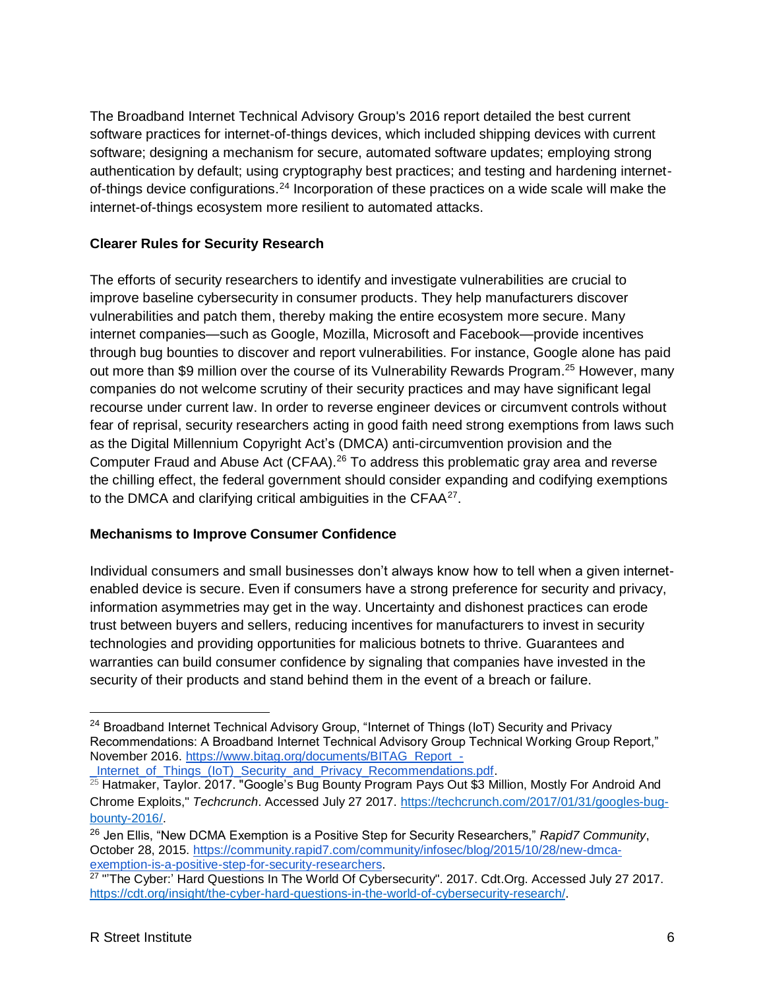The Broadband Internet Technical Advisory Group's 2016 report detailed the best current software practices for internet-of-things devices, which included shipping devices with current software; designing a mechanism for secure, automated software updates; employing strong authentication by default; using cryptography best practices; and testing and hardening internetof-things device configurations.<sup>24</sup> Incorporation of these practices on a wide scale will make the internet-of-things ecosystem more resilient to automated attacks.

#### **Clearer Rules for Security Research**

The efforts of security researchers to identify and investigate vulnerabilities are crucial to improve baseline cybersecurity in consumer products. They help manufacturers discover vulnerabilities and patch them, thereby making the entire ecosystem more secure. Many internet companies—such as Google, Mozilla, Microsoft and Facebook—provide incentives through bug bounties to discover and report vulnerabilities. For instance, Google alone has paid out more than \$9 million over the course of its Vulnerability Rewards Program.<sup>25</sup> However, many companies do not welcome scrutiny of their security practices and may have significant legal recourse under current law. In order to reverse engineer devices or circumvent controls without fear of reprisal, security researchers acting in good faith need strong exemptions from laws such as the Digital Millennium Copyright Act's (DMCA) anti-circumvention provision and the Computer Fraud and Abuse Act (CFAA).<sup>26</sup> To address this problematic gray area and reverse the chilling effect, the federal government should consider expanding and codifying exemptions to the DMCA and clarifying critical ambiguities in the CFAA $27$ .

#### **Mechanisms to Improve Consumer Confidence**

Individual consumers and small businesses don't always know how to tell when a given internetenabled device is secure. Even if consumers have a strong preference for security and privacy, information asymmetries may get in the way. Uncertainty and dishonest practices can erode trust between buyers and sellers, reducing incentives for manufacturers to invest in security technologies and providing opportunities for malicious botnets to thrive. Guarantees and warranties can build consumer confidence by signaling that companies have invested in the security of their products and stand behind them in the event of a breach or failure.

<sup>&</sup>lt;sup>24</sup> Broadband Internet Technical Advisory Group, "Internet of Things (IoT) Security and Privacy Recommendations: A Broadband Internet Technical Advisory Group Technical Working Group Report," November 2016. [https://www.bitag.org/documents/BITAG\\_Report\\_-](https://www.bitag.org/documents/BITAG_Report_-_Internet_of_Things_(IoT)_Security_and_Privacy_Recommendations.pdf) [\\_Internet\\_of\\_Things\\_\(IoT\)\\_Security\\_and\\_Privacy\\_Recommendations.pdf.](https://www.bitag.org/documents/BITAG_Report_-_Internet_of_Things_(IoT)_Security_and_Privacy_Recommendations.pdf)

<sup>&</sup>lt;sup>25</sup> Hatmaker, Taylor. 2017. "Google's Bug Bounty Program Pays Out \$3 Million, Mostly For Android And Chrome Exploits," *Techcrunch*. Accessed July 27 2017. [https://techcrunch.com/2017/01/31/googles-bug](https://techcrunch.com/2017/01/31/googles-bug-bounty-2016/)[bounty-2016/.](https://techcrunch.com/2017/01/31/googles-bug-bounty-2016/)

<sup>26</sup> Jen Ellis, "New DCMA Exemption is a Positive Step for Security Researchers," *Rapid7 Community*, October 28, 2015. [https://community.rapid7.com/community/infosec/blog/2015/10/28/new-dmca](https://community.rapid7.com/community/infosec/blog/2015/10/28/new-dmca-exemption-is-a-positive-step-for-security-researchers)[exemption-is-a-positive-step-for-security-researchers.](https://community.rapid7.com/community/infosec/blog/2015/10/28/new-dmca-exemption-is-a-positive-step-for-security-researchers)<br><sup>27</sup> "'The Cyber:' Hard Questions In The World Of Cybersecurity". 2017. Cdt.Org. Accessed July 27 2017.

[https://cdt.org/insight/the-cyber-hard-questions-in-the-world-of-cybersecurity-research/.](https://cdt.org/insight/the-cyber-hard-questions-in-the-world-of-cybersecurity-research/)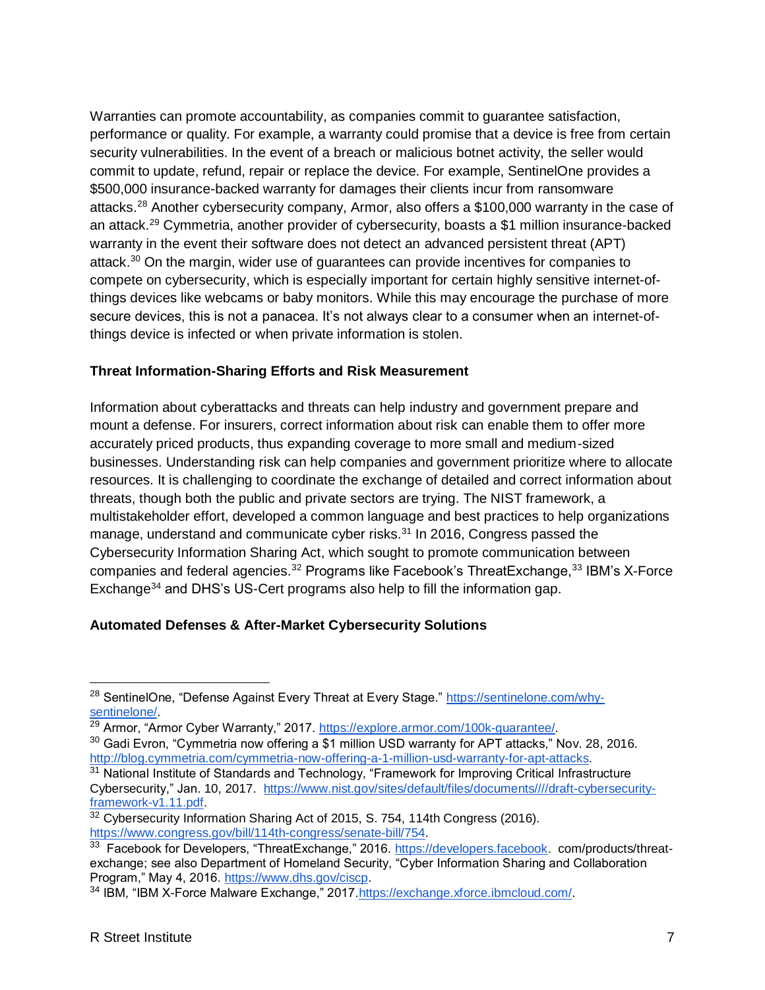Warranties can promote accountability, as companies commit to guarantee satisfaction, performance or quality. For example, a warranty could promise that a device is free from certain security vulnerabilities. In the event of a breach or malicious botnet activity, the seller would commit to update, refund, repair or replace the device. For example, SentinelOne provides a \$500,000 insurance-backed warranty for damages their clients incur from ransomware attacks.<sup>28</sup> Another cybersecurity company, Armor, also offers a \$100,000 warranty in the case of an attack.<sup>29</sup> Cymmetria, another provider of cybersecurity, boasts a \$1 million insurance-backed warranty in the event their software does not detect an advanced persistent threat (APT) attack.<sup>30</sup> On the margin, wider use of guarantees can provide incentives for companies to compete on cybersecurity, which is especially important for certain highly sensitive internet-ofthings devices like webcams or baby monitors. While this may encourage the purchase of more secure devices, this is not a panacea. It's not always clear to a consumer when an internet-ofthings device is infected or when private information is stolen.

#### **Threat Information-Sharing Efforts and Risk Measurement**

Information about cyberattacks and threats can help industry and government prepare and mount a defense. For insurers, correct information about risk can enable them to offer more accurately priced products, thus expanding coverage to more small and medium-sized businesses. Understanding risk can help companies and government prioritize where to allocate resources. It is challenging to coordinate the exchange of detailed and correct information about threats, though both the public and private sectors are trying. The NIST framework, a multistakeholder effort, developed a common language and best practices to help organizations manage, understand and communicate cyber risks.<sup>31</sup> In 2016, Congress passed the Cybersecurity Information Sharing Act, which sought to promote communication between companies and federal agencies.<sup>32</sup> Programs like Facebook's ThreatExchange,<sup>33</sup> IBM's X-Force Exchange<sup>34</sup> and DHS's US-Cert programs also help to fill the information gap.

### **Automated Defenses & After-Market Cybersecurity Solutions**

 $\overline{a}$ 

<sup>&</sup>lt;sup>28</sup> SentinelOne, "Defense Against Every Threat at Every Stage." [https://sentinelone.com/why](https://sentinelone.com/why-sentinelone/)[sentinelone/.](https://sentinelone.com/why-sentinelone/)

<sup>&</sup>lt;sup>29</sup> Armor, "Armor Cyber Warranty," 2017. [https://explore.armor.com/100k-guarantee/.](https://explore.armor.com/100k-guarantee/)

<sup>&</sup>lt;sup>30</sup> Gadi Evron, "Cymmetria now offering a \$1 million USD warranty for APT attacks," Nov. 28, 2016. [http://blog.cymmetria.com/cymmetria-now-offering-a-1-million-usd-warranty-for-apt-attacks.](http://blog.cymmetria.com/cymmetria-now-offering-a-1-million-usd-warranty-for-apt-attacks)

<sup>&</sup>lt;sup>31</sup> National Institute of Standards and Technology, "Framework for Improving Critical Infrastructure Cybersecurity," Jan. 10, 2017. [https://www.nist.gov/sites/default/files/documents////draft-cybersecurity](https://www.nist.gov/sites/default/files/documents/draft-cybersecurity-framework-v1.11.pdf)[framework-v1.11.pdf.](https://www.nist.gov/sites/default/files/documents/draft-cybersecurity-framework-v1.11.pdf)

<sup>&</sup>lt;sup>32</sup> Cybersecurity Information Sharing Act of 2015, S. 754, 114th Congress (2016). [https://www.congress.gov/bill/114th-congress/senate-bill/754.](https://www.congress.gov/bill/114th-congress/senate-bill/754)

<sup>&</sup>lt;sup>33</sup> Facebook for Developers, "ThreatExchange," 2016. [https://developers.facebook.](https://developers.facebook/) com/products/threatexchange; see also Department of Homeland Security, "Cyber Information Sharing and Collaboration Program," May 4, 2016. [https://www.dhs.gov/ciscp.](https://www.dhs.gov/ciscp)

<sup>&</sup>lt;sup>34</sup> IBM, "IBM X-Force Malware Exchange," 2017. https://exchange.xforce.ibmcloud.com/.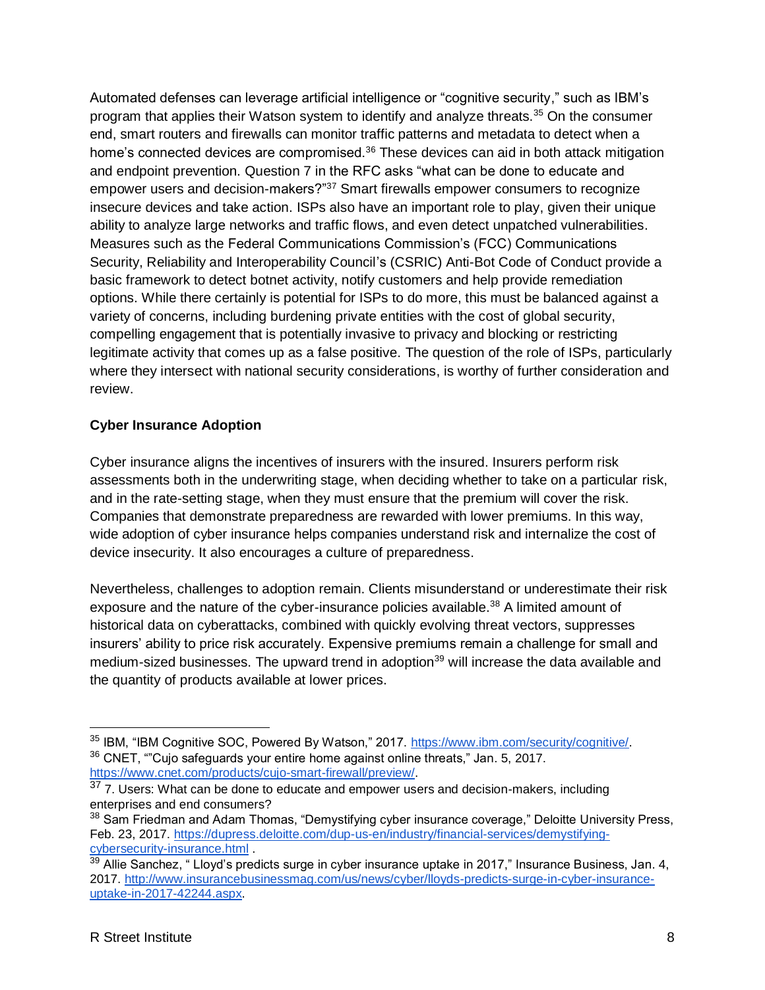Automated defenses can leverage artificial intelligence or "cognitive security," such as IBM's program that applies their Watson system to identify and analyze threats.<sup>35</sup> On the consumer end, smart routers and firewalls can monitor traffic patterns and metadata to detect when a home's connected devices are compromised.<sup>36</sup> These devices can aid in both attack mitigation and endpoint prevention. Question 7 in the RFC asks "what can be done to educate and empower users and decision-makers?"<sup>37</sup> Smart firewalls empower consumers to recognize insecure devices and take action. ISPs also have an important role to play, given their unique ability to analyze large networks and traffic flows, and even detect unpatched vulnerabilities. Measures such as the Federal Communications Commission's (FCC) Communications Security, Reliability and Interoperability Council's (CSRIC) Anti-Bot Code of Conduct provide a basic framework to detect botnet activity, notify customers and help provide remediation options. While there certainly is potential for ISPs to do more, this must be balanced against a variety of concerns, including burdening private entities with the cost of global security, compelling engagement that is potentially invasive to privacy and blocking or restricting legitimate activity that comes up as a false positive. The question of the role of ISPs, particularly where they intersect with national security considerations, is worthy of further consideration and review.

#### **Cyber Insurance Adoption**

Cyber insurance aligns the incentives of insurers with the insured. Insurers perform risk assessments both in the underwriting stage, when deciding whether to take on a particular risk, and in the rate-setting stage, when they must ensure that the premium will cover the risk. Companies that demonstrate preparedness are rewarded with lower premiums. In this way, wide adoption of cyber insurance helps companies understand risk and internalize the cost of device insecurity. It also encourages a culture of preparedness.

Nevertheless, challenges to adoption remain. Clients misunderstand or underestimate their risk exposure and the nature of the cyber-insurance policies available.<sup>38</sup> A limited amount of historical data on cyberattacks, combined with quickly evolving threat vectors, suppresses insurers' ability to price risk accurately. Expensive premiums remain a challenge for small and medium-sized businesses. The upward trend in adoption<sup>39</sup> will increase the data available and the quantity of products available at lower prices.

<sup>35</sup> IBM, "IBM Cognitive SOC, Powered By Watson," 2017. [https://www.ibm.com/security/cognitive/.](https://www.ibm.com/security/cognitive/) <sup>36</sup> CNET, ""Cujo safeguards your entire home against online threats," Jan. 5, 2017. [https://www.cnet.com/products/cujo-smart-firewall/preview/.](https://www.cnet.com/products/cujo-smart-firewall/preview/)

<sup>37 7.</sup> Users: What can be done to educate and empower users and decision-makers, including enterprises and end consumers?

<sup>&</sup>lt;sup>38</sup> Sam Friedman and Adam Thomas, "Demystifying cyber insurance coverage," Deloitte University Press, Feb. 23, 2017. [https://dupress.deloitte.com/dup-us-en/industry/financial-services/demystifying](https://dupress.deloitte.com/dup-us-en/industry/financial-services/demystifying-cybersecurity-insurance.html)[cybersecurity-insurance.html](https://dupress.deloitte.com/dup-us-en/industry/financial-services/demystifying-cybersecurity-insurance.html) .

 $39$  Allie Sanchez, " Lloyd's predicts surge in cyber insurance uptake in 2017," Insurance Business, Jan. 4, 2017. [http://www.insurancebusinessmag.com/us/news/cyber/lloyds-predicts-surge-in-cyber-insurance](http://www.insurancebusinessmag.com/us/news/cyber/lloyds-predicts-surge-in-cyber-insurance-uptake-in-2017-42244.aspx)[uptake-in-2017-42244.aspx.](http://www.insurancebusinessmag.com/us/news/cyber/lloyds-predicts-surge-in-cyber-insurance-uptake-in-2017-42244.aspx)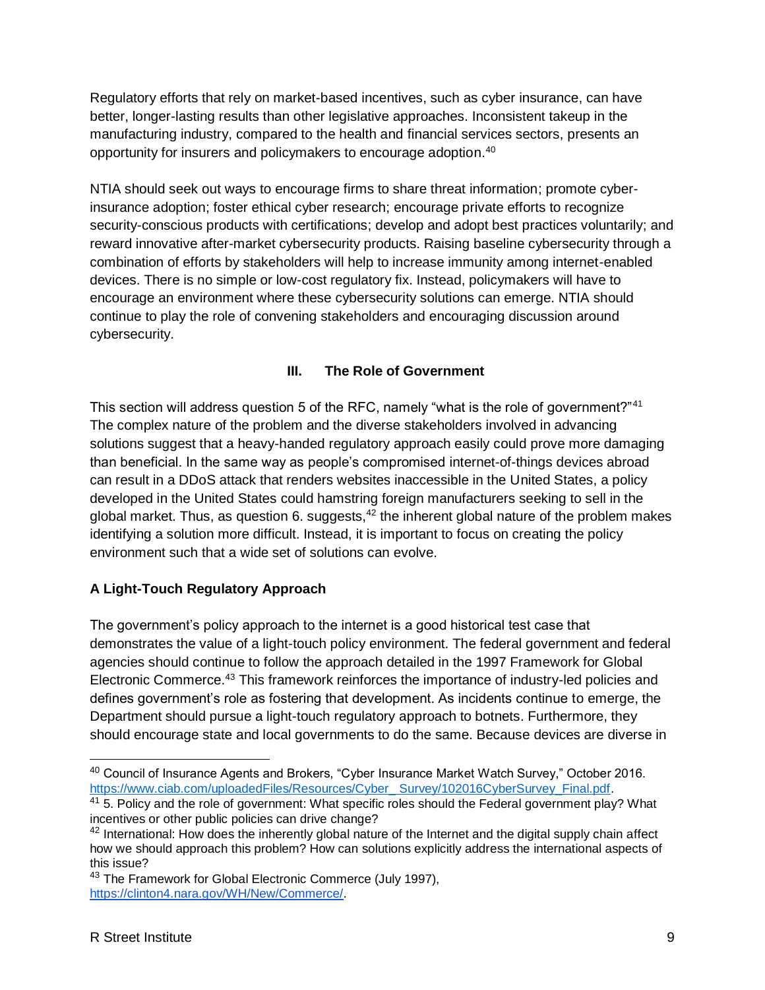Regulatory efforts that rely on market-based incentives, such as cyber insurance, can have better, longer-lasting results than other legislative approaches. Inconsistent takeup in the manufacturing industry, compared to the health and financial services sectors, presents an opportunity for insurers and policymakers to encourage adoption.<sup>40</sup>

NTIA should seek out ways to encourage firms to share threat information; promote cyberinsurance adoption; foster ethical cyber research; encourage private efforts to recognize security-conscious products with certifications; develop and adopt best practices voluntarily; and reward innovative after-market cybersecurity products. Raising baseline cybersecurity through a combination of efforts by stakeholders will help to increase immunity among internet-enabled devices. There is no simple or low-cost regulatory fix. Instead, policymakers will have to encourage an environment where these cybersecurity solutions can emerge. NTIA should continue to play the role of convening stakeholders and encouraging discussion around cybersecurity.

## **III. The Role of Government**

This section will address question 5 of the RFC, namely "what is the role of government?"<sup>41</sup> The complex nature of the problem and the diverse stakeholders involved in advancing solutions suggest that a heavy-handed regulatory approach easily could prove more damaging than beneficial. In the same way as people's compromised internet-of-things devices abroad can result in a DDoS attack that renders websites inaccessible in the United States, a policy developed in the United States could hamstring foreign manufacturers seeking to sell in the global market. Thus, as question 6. suggests,  $42$  the inherent global nature of the problem makes identifying a solution more difficult. Instead, it is important to focus on creating the policy environment such that a wide set of solutions can evolve.

### **A Light-Touch Regulatory Approach**

The government's policy approach to the internet is a good historical test case that demonstrates the value of a light-touch policy environment. The federal government and federal agencies should continue to follow the approach detailed in the 1997 Framework for Global Electronic Commerce.<sup>43</sup> This framework reinforces the importance of industry-led policies and defines government's role as fostering that development. As incidents continue to emerge, the Department should pursue a light-touch regulatory approach to botnets. Furthermore, they should encourage state and local governments to do the same. Because devices are diverse in

 $\overline{a}$ 

<sup>40</sup> Council of Insurance Agents and Brokers, "Cyber Insurance Market Watch Survey," October 2016. [https://www.ciab.com/uploadedFiles/Resources/Cyber\\_ Survey/102016CyberSurvey\\_Final.pdf.](https://www.ciab.com/uploadedFiles/Resources/Cyber_%20Survey/102016CyberSurvey_Final.pdf)

 $41$  5. Policy and the role of government: What specific roles should the Federal government play? What incentives or other public policies can drive change?

<sup>&</sup>lt;sup>42</sup> International: How does the inherently global nature of the Internet and the digital supply chain affect how we should approach this problem? How can solutions explicitly address the international aspects of this issue?

<sup>&</sup>lt;sup>43</sup> The Framework for Global Electronic Commerce (July 1997), [https://clinton4.nara.gov/WH/New/Commerce/.](https://clinton4.nara.gov/WH/New/Commerce/)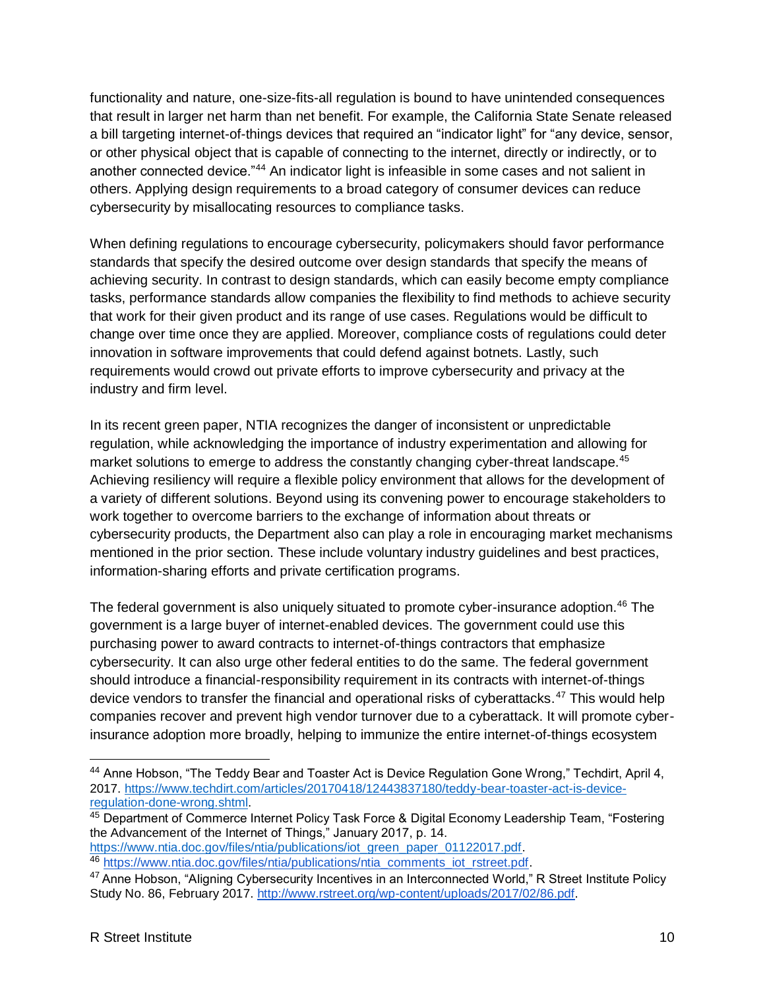functionality and nature, one-size-fits-all regulation is bound to have unintended consequences that result in larger net harm than net benefit. For example, the California State Senate released a bill targeting internet-of-things devices that required an "indicator light" for "any device, sensor, or other physical object that is capable of connecting to the internet, directly or indirectly, or to another connected device."<sup>44</sup> An indicator light is infeasible in some cases and not salient in others. Applying design requirements to a broad category of consumer devices can reduce cybersecurity by misallocating resources to compliance tasks.

When defining regulations to encourage cybersecurity, policymakers should favor performance standards that specify the desired outcome over design standards that specify the means of achieving security. In contrast to design standards, which can easily become empty compliance tasks, performance standards allow companies the flexibility to find methods to achieve security that work for their given product and its range of use cases. Regulations would be difficult to change over time once they are applied. Moreover, compliance costs of regulations could deter innovation in software improvements that could defend against botnets. Lastly, such requirements would crowd out private efforts to improve cybersecurity and privacy at the industry and firm level.

In its recent green paper, NTIA recognizes the danger of inconsistent or unpredictable regulation, while acknowledging the importance of industry experimentation and allowing for market solutions to emerge to address the constantly changing cyber-threat landscape.<sup>45</sup> Achieving resiliency will require a flexible policy environment that allows for the development of a variety of different solutions. Beyond using its convening power to encourage stakeholders to work together to overcome barriers to the exchange of information about threats or cybersecurity products, the Department also can play a role in encouraging market mechanisms mentioned in the prior section. These include voluntary industry guidelines and best practices, information-sharing efforts and private certification programs.

The federal government is also uniquely situated to promote cyber-insurance adoption.<sup>46</sup> The government is a large buyer of internet-enabled devices. The government could use this purchasing power to award contracts to internet-of-things contractors that emphasize cybersecurity. It can also urge other federal entities to do the same. The federal government should introduce a financial-responsibility requirement in its contracts with internet-of-things device vendors to transfer the financial and operational risks of cyberattacks.<sup>47</sup> This would help companies recover and prevent high vendor turnover due to a cyberattack. It will promote cyberinsurance adoption more broadly, helping to immunize the entire internet-of-things ecosystem

45 Department of Commerce Internet Policy Task Force & Digital Economy Leadership Team, "Fostering the Advancement of the Internet of Things," January 2017, p. 14.

[https://www.ntia.doc.gov/files/ntia/publications/iot\\_green\\_paper\\_01122017.pdf.](https://www.ntia.doc.gov/files/ntia/publications/iot_green_paper_01122017.pdf) <sup>46</sup> [https://www.ntia.doc.gov/files/ntia/publications/ntia\\_comments\\_iot\\_rstreet.pdf.](https://www.ntia.doc.gov/files/ntia/publications/ntia_comments_iot_rstreet.pdf)

 $\overline{a}$ 

<sup>44</sup> Anne Hobson, "The Teddy Bear and Toaster Act is Device Regulation Gone Wrong," Techdirt, April 4, 2017. [https://www.techdirt.com/articles/20170418/12443837180/teddy-bear-toaster-act-is-device](https://www.techdirt.com/articles/20170418/12443837180/teddy-bear-toaster-act-is-device-regulation-done-wrong.shtml)[regulation-done-wrong.shtml.](https://www.techdirt.com/articles/20170418/12443837180/teddy-bear-toaster-act-is-device-regulation-done-wrong.shtml)

<sup>&</sup>lt;sup>47</sup> Anne Hobson, "Aligning Cybersecurity Incentives in an Interconnected World," R Street Institute Policy Study No. 86, February 2017[.](http://www.rstreet.org/policy-study/aligning-cybersecurity-incentives-in-an-interconnected-world/) [http://www.rstreet.org/wp-content/uploads/2017/02/86.pdf.](http://www.rstreet.org/wp-content/uploads/2017/02/86.pdf)